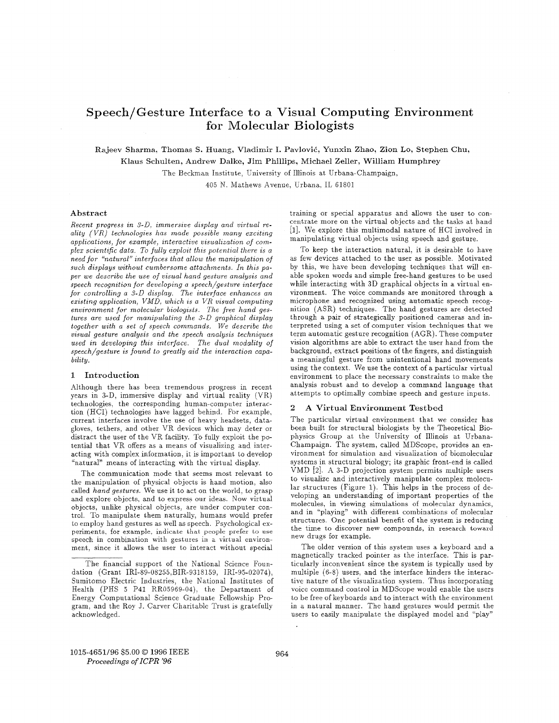# Speech/Gesture Interface to a Visual Computing Environment **for** Molecular Biologists

Rajeev Sharma: Thomas *S.* Huang, Vladimir **I.** PavloviC, Yunxin Zhao, Zion **Lo,** Stephen Chu,

Klaus Schulten, Andrew Dalke, Jim Phillips, Michael Zeller, William Humphrey

The Beckman Institute, University of Illinois at Urbana-Champaign,

405 N. Mathews Avenue, Urbana, IL 61801

#### **Abstract**

*Recent progress in 3-0. immersive display and virtual reality (VR) technologies has made possible many exciting*  applications, for example, interactive visualization of com*plex scientific data. To fully exploit this potential there is a need for 'hatural" interfaces that allow the manipulation of such displays without cumbersome attachments. In this paper we describe the use* of *visual hand gesture analysis and speech recognition for developing a speech/gesture interface for controlling a 3-0 display. The interface enhances an existing application, VMD, which is a VR visual computing enuironment for molecular biologists. The free hand gestures are used for manipulating the 3-0 graphical display together with a set of speech commands. We describe the visual gesture analysis and the speech analysis techniques used in developing this interface. The dual modality of speech/gesture is found to greatly aid the interaction capability.* 

# **1 Introduction**

Although there has been tremendous progress in recent years in **3-D,** immersive display and virtual reality (VR) technologies, the corresponding human-computer interaction (HCI) technologies have lagged behind. For example, current interfaces involve the use of heavy headsets, datagloves, tethers, and other VR devices which may deter or distract the user of the VR facility. To fully exploit the potential that VR offers as a means of visualizing and interacting with complex information, it is important to develop "natural" means of interacting with the virtual display.

The communication mode that seems most relevant to the manipulation of physical objects is hand motion, also called *hand gestures*. We use it to act on the world, to grasp and explore objects, and to express our ideas. Now virtual objects, unlike physical objects, are under computer control. To manipulate them naturally, humans would prefer to employ hand gestures as well as speech. Psychological experiments, for example, indicate that people prefer to use speech in combination with gestures in a virtual environment, since it allows the user to interact without special training or special apparatus and allows the user to concentrate more on the virtual objects and the tasks at hand [1]. We explore this multimodal nature of HCI involved in manipulating virtual objects using speech and gesture.

To keep the interaction natural, it is desirable to have as few devices attached to the user as possible. Motivated by this, we have been developing techniques that **will** enable spoken words and simple free-hand gestures to be used while interacting with 3D graphical objects in a virtual environment. The voice commands are monitored through a microphone and recognized using automatic speech recognition (ASR) techniques. The hand gestures are detected through a pair of strategically positioned cameras and interpreted using a set of computer vision techniques that we term automatic gesture recognition (AGR). These computer vision algorithms are able to extract the user hand from the background, extract positions of the fingers, and distinguish a meaningful gesture from unintentional hand movements using the context. We use the context of a particular virtual environment to place the necessary constraints to make the analysis robust and to develop a command language that attempts to optimally combine speech and gesture inputs.

# **2 A Virtual Environment Testbed**

The particular virtual environment that we consider has been built for structural biologists by the Theoretical Biophysics Group at the University of Illinois at Urbana-Champaign. The system, called MDScope, provides an environment for simulation and visualization of biomolecular systems in structural biology; its graphic front-end is called VMD [2]. A 3-D projection system permits multiple users to visualize and interactively manipulate complex molecular structures (Figure 1). This helps in the process of developing an understanding of important properties of the molecules, in viewing simulations of molecular dynamics, and in "playing" with different combinations of molecular structures. One potential benefit of the system is reducing the time to discover new compounds, in research toward new drugs for example.

The older version of this system uses a keyboard and a magnetically tracked pointer as the interface. This is particularly inconvenient since the system is typically used by multiple (6-8) users, and the interface hinders the interactive nature of the visualization system. Thus incorporating voice command control in MDScope would enable the users to be free of keyboards and to interact with the environment in a natural manner. The hand gestures would permit the users to easily manipulate the displayed model and "play"

The financial support of the National Science Foundation (Grant IRI-89-08255, BIR-9318159, IRI-95-02074), Sumitomo Electric Industries, the National Institutes of Health (PHS *5* **P41** RR05969-04). the Department of Energy Computational Science Graduate Fellowship Program, and the Roy J. Carver Charitable Trust is gratefully acknowledged.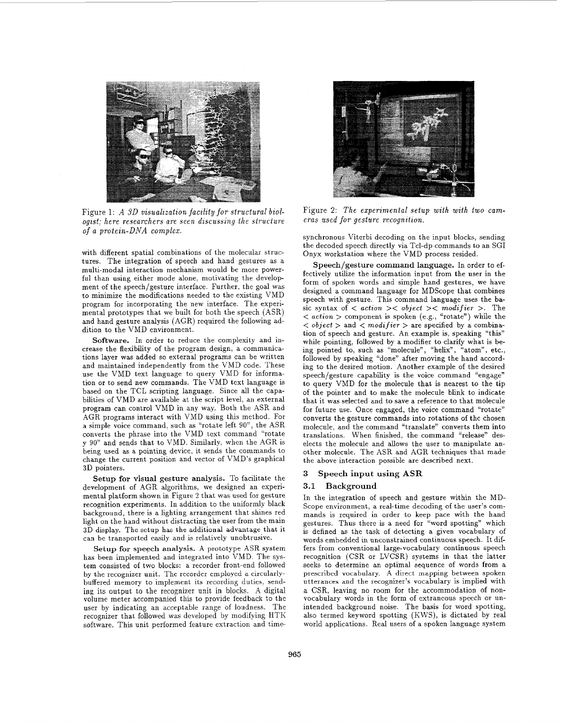

Figure 1: *A 30 visualization facility for structural biologist; here researchers are seen discussing the structure of a protein-DNA complex.* 

with different spatial combinations of the molecular structures. The integration of speech and hand gestures as a multi-modal interaction mechanism would be more powerful than using either mode alone, motivating the development of the speech/gesture interface. Further, the goal was to minimize the modifications needed to the existing VMD program for incorporating the new interface. The experimental prototypes that we built for both the speech (ASR) and hand gesture analysis (AGR) required the following addition to the VMD environment.

Software. In order to reduce the complexity and increase the flexibility of the program design, a communications layer was added so external programs can be written and maintained independently from the VMD code. These use the VMD text language to query VMD for information or to send new commands. The VMD text language is based on the TCL scripting language. Since all the capabilities of VMD are available at the script level. an external program can control VMD in any way. Both the ASR and AGR programs interact with VMD using this method. For a simple voice command, such as "rotate left go", the ASR converts the phrase into the VMD text command "rotate y 90" and sends that to VMD. Similarly, when the AGR is being used as a pointing device, it sends the commands to change the current position and vector of VMD's graphical **3D** pointers.

**Setup for visual gesture analysis.** To facilitate the development of AGR algorithms, we designed an experimental platform shown in Figure 2 that was used for gesture recognition experiments. In addition to the uniformly black background, there is a lighting arrangement that shines red light on the hand without distracting the user from the main **3D** display. The setup has the additional advantage that it. can be transported easily and is relatively unobtrusive.

**Setup for speech** analysis. **A** prototype ASR system has been implemented and integrated into VMD. The system consisted of two blocks: a recorder front-end followed by the recognizer unit. The recorder employed a circularlybuffered memory to implement its recording duties, sending its output to the recognizer unit in blocks. **A** digital volume meter accompanied this to provide feedback to the user by indicating an acceptable range of loudness. The recognizer that followed was developed by modifying HTK software. This unit performed feature extraction and time-



Figure *2: The experimental setup with with two cameras used for gesture recognition.* 

synchronous Viterbi decoding on the input blocks, sending the decoded speech directly via Tcl-dp commands to an SGI Onyx workstation where the VMD process resided.

**Speech/gesture command language.** In order to effectively utilize the information input from the user in the form of spoken words and simple hand gestures, we have designed a command language for MDScope that combines speech with gesture. This command language uses the basic syntax of < *action* >< *object* >< *modifier* >. The < *action* > component is spoken (e.g., "rotate") while the  $\langle$  *object*  $>$  and  $\langle$  *modifier*  $>$  are specified by a combination of speech and gesture. An example is, speaking "this" while pointing, followed by a modifier to clarify what is being pointed to, such as "molecule", "helix", "atom", etc., followed by speaking "done" after moving the hand according to the desired motion. Another example of the desired speech/gesture capability is the voice command "engage" to query VMD for the molecule that is nearest to the tip of the pointer and to make the molecule blink to indicate that it was selected and to save a reference to that molecule for future use. Once engaged, the voice command "rotate" converts the gesture commands into rotations of the chosen molecule, and the command "translate" converts them into translations. When finished, the command "release" deselects the molecule and allows the user to manipulate another molecule. The ASR and AGR techniques that made the above interaction possible are described next.

# **3 Speech input using ASR**

# **3.1 Background**

In the integration of speech and gesture within the MD-Scope environment, a real-time decoding of the user's commands is required in order to keep pace with the hand gestures. Thus there is a need for "word spotting" which is defined as the task of detecting a given vocabulary of words embedded in unconstrained continuous speech. It differs from conventional large-vocabulary continuous speech recognition (CSR or LVCSR) systems in that the latter seeks to determine an optimal sequence of words from a prescribed vocabulary. **A** direct mapping between spoken utterances and the recognizer's vocabulary is implied with a CSR, leaving no room for the accommodation of non- vocabulary words in the form of extraneous speech or unintended background noise. The basis for word spotting, also termed keyword spotting (KWS), is dictated by real world applications. Real users of a spoken language system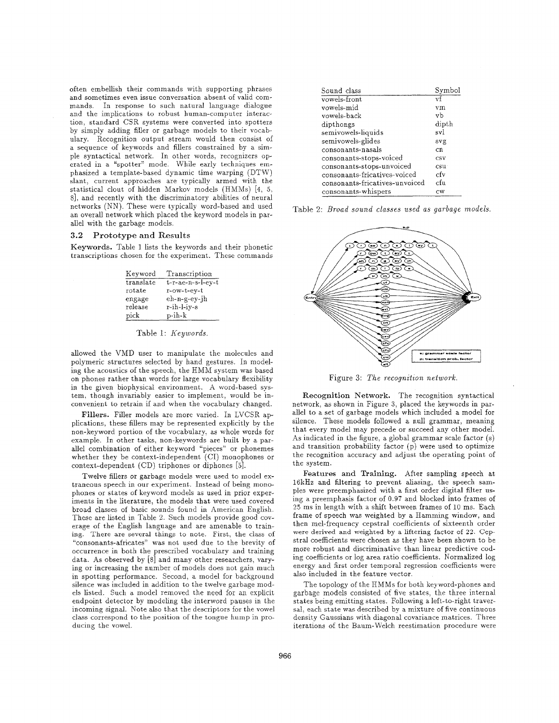often embellish their commands with supporting phrases and sometimes even issue conversation absent of valid commands. In response to such natural language dialogue and the implications to robust human-computer interaction, standard CSR systems were converted into spotters by simply adding filler or garbage models to their vocabulary. Recognition output stream would then consist of a sequence of keywords and fillers constrained by a simple syntactical network. In other words, recognizers operated in a "spotter" mode. While early techniques emphasized a template-based dynamic time warping (DTW) slant, current approaches are typically armed with the statistical clout of hidden Markov models (HMMs) [4, 5, 8, and recently with the discriminatory abilities of neural networks (NN). These were typically word-based and used an overall network which placed the keyword models in parallel with the garbage models.

#### **3.2** Prototype **and** Results

Keywords. Table 1 lists the keywords and their phonetic transcriptions chosen for the experiment. These commands

| Kevword   | Transcription       |
|-----------|---------------------|
| translate | $t-r-ae-n-s-l-ey-t$ |
| rotate    | r-ow-t-ey-t         |
| engage    | eh-n-g-ey-jh        |
| release   | r-ih-l-iy-s         |
| pick      | p-ih-k              |

Table 1: *Keywords.* 

allowed the VMD user to manipulate the molecules and polymeric structures selected by hand gestures. In modeling the acoustics of the speech, the HMM system was based on phones rather than words for large vocabulary flexibility in the given biophysical environment. A word-based system, though invariably easier to implement, would be inconvenient to retrain if and when the vocabulary changed.

**Fillers.** Filler models are more varied. In LVCSR applications, these fillers may be represented explicitly by the non-keyword portion of the vocabulary, as whole words for example. In other tasks, non-keywords are built by **a** parallel combination of either keyword "pieces" or phonemes whether they be context-independent (CI) monophones or context-dependent (CD) triphones or diphones [5].

Twelve fillers or garbage models were used to model **ex**traneous speech in our experiment. Instead of being monophones or states of keyword models as used in prior experiments in the literature, the models that were used covered broad classes of basic sounds found in American English. These are listed in Table 2. Such models provide good coverage of the English language and are amenable to training. There are several things to note. First, the class of '(consonants-africates" was not used due to the brevity of occurrence in both the prescribed vocabulary and training data. As observed by [8] and many other researchers, varying or increasing the number of models does not gain much in spotting performance. Second, a model for background silence was included in addition to the twelve garbage models listed. Such a model removed the need for an explicit endpoint detector by modeling the interword pauses in the incoming signal. Note also that the descriptors for the vowel class correspond to the position of the tongue hump in producing the vowel.

| Sound class                    | Symbol         |
|--------------------------------|----------------|
| vowels-front                   | vf             |
| vowels-mid                     | vm             |
| vowels-back                    | vb             |
| dipthongs                      | $\text{dipth}$ |
| semivowels-liquids             | svl            |
| semivowels-glides              | svg            |
| consonants-nasals              | cn             |
| consonants-stops-voiced        | csv            |
| consonants-stops-unvoiced      | csu            |
| consonants-fricatives-voiced   | cfv            |
| consonants-fricatives-unvoiced | cfn            |
| consonants-whispers            | CW             |

Table 2: *Broad sound classes used as garbage models.* 



Figure 3: The recognition network.

**Recognition** Network. The recognition syntactical network, as shown in Figure 3, placed the keywords in parallel to **a** set of garbage models which included a model for silence. These models followed a null grammar, meaning that every model may precede or succeed any other model. As indicated in the figure, a global grammar scale factor (s) and transition probability factor (p) were used to optimize the recognition accuracy and adjust the operating point of the system.

**Features and Training.** After sampling speech at 16kHz and filtering to prevent aliasing, the speech samples were preemphasized with a first order digital filter using a preemphasis factor of **0.97** and blocked into frames of 25 ms in length with **a** shift between frames of 10 ms. Each frame of speech was weighted by a Hamming window, and then mel-frequency cepstral coefficients of sixteenth order were derived and weighted by a liftering factor of **22.** Cepstral coefficients were chosen as they have been shown to be more robust and discriminative than linear predictive coding coefficients or log area ratio coefficients. Normalized log energy and first order temporal regression coefficients were also included in the feature vector.

The topology of the HMMs for both keyword-phones and garbage models consisted of five states, the three internal states being emitting states. Following **a** left-to-right traversal, each state was described by a mixture of five continuous density Gaussians with diagonal covariance matrices. Three iterations of the Baum-Welch reestimation procedure were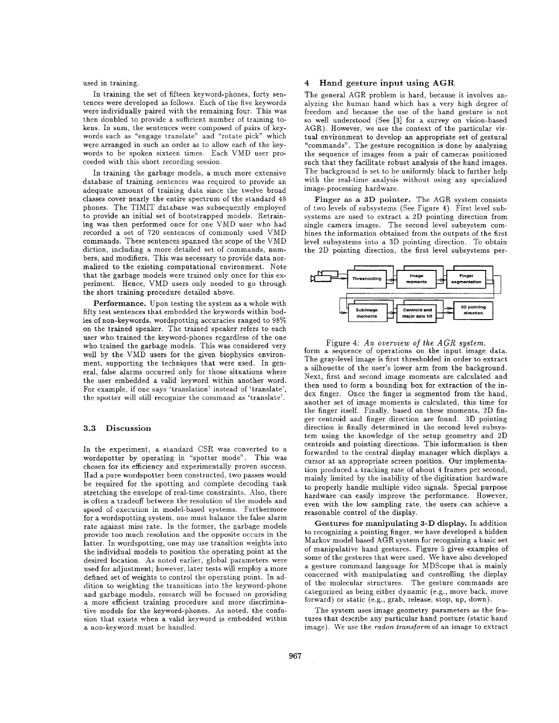used in training.

In training the set of fifteen keyword-phones, forty sentences were developed as follows. Each of the five keywords were individually paired with the remaining four. This was then doubled to provide a sufficient number of training tokens. In sum, the sentences were composed of pairs of keywords such as "engage translate'' and "rotate pick" which were arranged in such an order as to allow each of the keywords to be spoken sixteen times. Each VMD user proceeded with this short recording session.

In training the garbage models, a much more extensive database of training sentences was required to provide an adequate amount of training data since the twelve broad classes cover nearly the entire spectrum of the standard 48 phones. The TIMIT database was subsequently employed to provide an initial set of bootstrapped models. Retraining was then performed once for one VMD user who had recorded a set of 720 sentences of commonly used VMD commands. These sentences spanned the scope of the VMD diction, including a more detailed set of commands, numbers, and modifiers. This was necessary to provide data normalized to the existing computational environment. Note that the garbage models were trained only once for this experiment. Hence, VMD users only needed to go through the short training procedure detailed above.

**Performance.** Upon testing the system as a whole with fifty test sentences that embedded the keywords within bodies of non-keywords, wordspotting accuracies ranged to 98% on the trained speaker. The trained speaker refers to each user who trained the keyword-phones regardless of the one who trained the garbage models. This was considered very well by the VMD users for the given biophysics environment, supporting the techniques that were used. In general, false alarms occurred only for those situations where the user embedded a valid keyword within another word. For example, if one says 'translation' instead of 'translate', the spotter will still recognize the command as 'translate'.

#### **3.3 Discussion**

In the experiment, a standard CSR was converted to a wordspotter by operating in "spotter mode". This was chosen for its efficiency and experimentally proven success. Had a pure wordspotter been constructed, two passes would be required for the spotting and complete decoding task stretching the envelope of real-time constraints. Also, there is often a tradeoff between the resolution of the models and speed of execution in model-based systems. Furthermore for a wordspotting system, one must balance the false alarm rate against miss rate. In the former, the garbage models provide too much resolution and the opposite occurs in the latter. In wordspotting, one may use transition weights into the individual models to position the operating point at the desired location. As noted earlier, global parameters were used for adjustment; however, later tests will employ a more defined set of weights to control the operating point. In addition to weighting the transitions into the keyword-phone and garbage models, research will be focused on providing a more efficient training procedure and more discriminative models for the keyword-phones. As noted. the confusion that exists when a valid keyword is embedded within a non-keyword must be handled.

# 4 **Hand gesture input using AGR**

The general AGR problem is hard, because it involves analyzing the human hand which has a very high degree of freedom and because the use of the hand gesture is not so well understood (See **[3]** for a survey on vision-based AGR). However, we use the context of the particular virtual environment to develop an appropriate set of gestural "commands". The gesture recognition is done by analyzing the sequence of images from a pair of cameras positioned such that they facilitate robust analysis of the hand images. The background is set to be uniformly black to further help with the real-time analysis without using any specialized image-processing hardware.

**Finger as a 3D pointer.** The AGR system consists of two levels of subsystems (See Figure **4).** First level subsystems are used to extract a 2D pointing direction from single camera images. The second level subsystem combines the information obtained from the outputs of the first level subsystems into a 3D pointing direction. To obtain the 2D pointing direction, the first level subsystems perof images from a pair of cameras positioned<br>facilitate robust analysis of the hand images.<br>In discussion is set to be uniformly black to further help<br>time analysis without using any specialized<br>mg hardware.<br>**A 3D pointer.** 



Figure 4: An overview of the AGR system.

form a sequence of operations on the input image data. The gray-level image is first thresholded in order to extract a silhouette of the user's lower arm from the background. Next, first and second image moments are calculated and then used to form a bounding box for extraction of the index finger. Once the finger is segmented from the hand, another set of image moments is calculated, this time for the finger itself. Finally, based on these moments. 2D finger centroid and finger direction are found. **3D** pointing direction is finally determined in the second level subsystem using the knowledge of the setup geometry and 2D centroids and pointing directions. This information is then forwarded to the central display manager which displays a cursor at an appropriate screen position. Our implementation produced a tracking rate of about **4** frames per second, mainly limited by the inability of the digitization hardware to properly handle multiple video signals. Special purpose hardware can easily improve the performance. However, even with the low sampling rate, the users can achieve a reasonable control of the display.

**Gestures for manipulating 3-D display.** In addition to recognizing a pointing finger, we have developed a hidden Markov model based AGR system for recognizing a basic set of manipulative hand gestures. Figure 5 gives examples of some of the gestures that were used. We have also developed a gesture command language for MDScope that is mainly concerned with manipulating and controlling the display of the molecular structures. The gesture commands are categorized as being either dynamic (e.g., move back, move forward) or static (e.g., grab, release, stop, up, down).

The system uses image geometry parameters as the features that describe any particular hand posture (static hand image). We use the *radon transform* of an image to extract